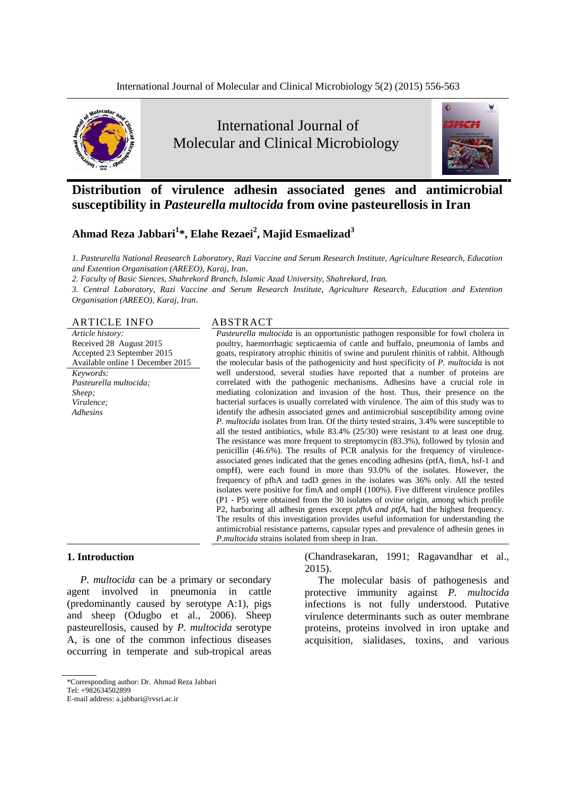

# International Journal of Molecular and Clinical Microbiology



# **Distribution of virulence adhesin associated genes and antimicrobial susceptibility in** *Pasteurella multocida* **from ovine pasteurellosis in Iran**

# **Ahmad Reza Jabbari<sup>1</sup>\*, Elahe Rezaei<sup>2</sup> , Majid Esmaelizad 3**

*1. Pasteurella National Reasearch Laboratory, Razi Vaccine and Serum Research Institute, Agriculture Research, Education and Extention Organisation (AREEO), Karaj, Iran*.

*2. Faculty of Basic Siences, Shahrekord Branch, Islamic Azad University, Shahrekord, Iran.*

*3. Central Laboratory, Razi Vaccine and Serum Research Institute, Agriculture Research, Education and Extention Organisation (AREEO), Karaj, Iran*.

#### ARTICLE INFO ABSTRACT

*Article history:* Received 28 August 2015 Accepted 23 September 2015 Available online 1 December 2015

*Keywords: Pasteurella multocida; Sheep; Virulence; Adhesins*

*Pasteurella multocida* is an opportunistic pathogen responsible for fowl cholera in poultry, haemorrhagic septicaemia of cattle and buffalo, pneumonia of lambs and goats, respiratory atrophic rhinitis of swine and purulent rhinitis of rabbit. Although the molecular basis of the pathogenicity and host specificity of *P. multocida* is not well understood, several studies have reported that a number of proteins are correlated with the pathogenic mechanisms. Adhesins have a crucial role in mediating colonization and invasion of the host. Thus, their presence on the bacterial surfaces is usually correlated with virulence. The aim of this study was to identify the adhesin associated genes and antimicrobial susceptibility among ovine *P. multocida* isolates from Iran. Of the thirty tested strains, 3.4% were susceptible to all the tested antibiotics, while 83.4% (25/30) were resistant to at least one drug. The resistance was more frequent to streptomycin (83.3%), followed by tylosin and penicillin  $(46.6\%)$ . The results of PCR analysis for the frequency of virulenceassociated genes indicated that the genes encoding adhesins (ptfA, fimA, hsf-1 and ompH), were each found in more than 93.0% of the isolates. However, the frequency of pfhA and tadD genes in the isolates was 36% only. All the tested isolates were positive for fimA and ompH (100%). Five different virulence profiles (P1 - P5) were obtained from the 30 isolates of ovine origin, among which profile P2, harboring all adhesin genes except *pfhA and ptfA*, had the highest frequency. The results of this investigation provides useful information for understanding the antimicrobial resistance patterns, capsular types and prevalence of adhesin genes in *P.multocida* strains isolated from sheep in Iran.

#### **1. Introduction**

*P. multocida* can be a primary or secondary agent involved in pneumonia in cattle (predominantly caused by serotype A:1), pigs and sheep (Odugbo et al., 2006). Sheep pasteurellosis, caused by *P. multocida* serotype A, is one of the common infectious diseases occurring in temperate and sub-tropical areas

(Chandrasekaran, 1991; Ragavandhar et al., 2015).

The molecular basis of pathogenesis and protective immunity against *P. multocida* infections is not fully understood. Putative virulence determinants such as outer membrane proteins, proteins involved in iron uptake and acquisition, sialidases, toxins, and various

<sup>\*</sup>Corresponding author: Dr. Ahmad Reza Jabbari

Tel: +982634502899

E-mail address: [a.jabbari@rvsri.ac.ir](mailto:a.jabbari@rvsri.ac.ir)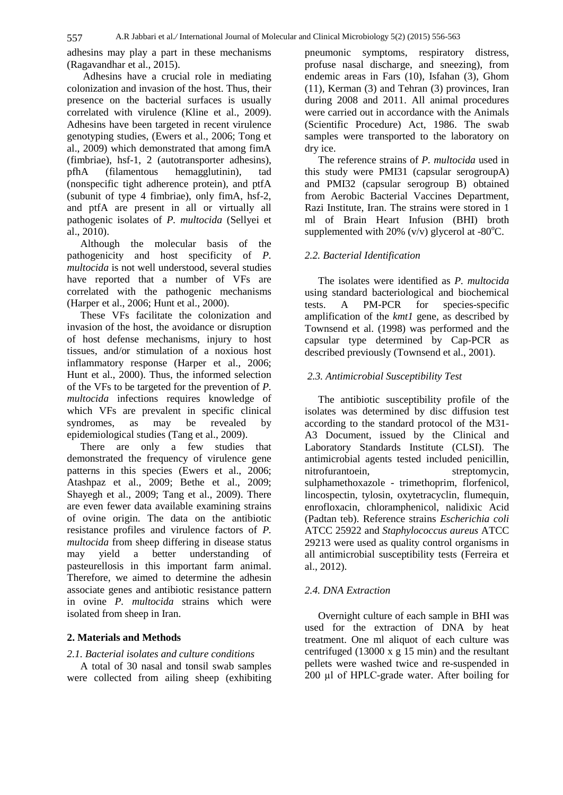adhesins may play a part in these mechanisms (Ragavandhar et al., 2015).

Adhesins have a crucial role in mediating colonization and invasion of the host. Thus, their presence on the bacterial surfaces is usually correlated with virulence (Kline et al., 2009). Adhesins have been targeted in recent virulence genotyping studies, (Ewers et al., 2006; Tong et al., 2009) which demonstrated that among fimA (fimbriae), hsf-1, 2 (autotransporter adhesins), pfhA (filamentous hemagglutinin), tad (nonspecific tight adherence protein), and ptfA (subunit of type 4 fimbriae), only fimA, hsf-2, and ptfA are present in all or virtually all pathogenic isolates of *P. multocida* (Sellyei et al., 2010).

Although the molecular basis of the pathogenicity and host specificity of *P. multocida* is not well understood, several studies have reported that a number of VFs are correlated with the pathogenic mechanisms (Harper et al., 2006; Hunt et al., 2000).

These VFs facilitate the colonization and invasion of the host, the avoidance or disruption of host defense mechanisms, injury to host tissues, and/or stimulation of a noxious host inflammatory response (Harper et al., 2006; Hunt et al., 2000). Thus, the informed selection of the VFs to be targeted for the prevention of *P. multocida* infections requires knowledge of which VFs are prevalent in specific clinical syndromes, as may be revealed by epidemiological studies (Tang et al., 2009).

There are only a few studies that demonstrated the frequency of virulence gene patterns in this species (Ewers et al., 2006; Atashpaz et al., 2009; Bethe et al., 2009; Shayegh et al., 2009; Tang et al., 2009). There are even fewer data available examining strains of ovine origin. The data on the antibiotic resistance profiles and virulence factors of *P. multocida* from sheep differing in disease status may yield a better understanding of pasteurellosis in this important farm animal. Therefore, we aimed to determine the adhesin associate genes and antibiotic resistance pattern in ovine *P. multocida* strains which were isolated from sheep in Iran.

#### **2. Materials and Methods**

#### *2.1. Bacterial isolates and culture conditions*

A total of 30 nasal and tonsil swab samples were collected from ailing sheep (exhibiting  $200 \mu l$  of HPLC-grade water. After boiling for

pneumonic symptoms, respiratory distress, profuse nasal discharge, and sneezing), from endemic areas in Fars (10), Isfahan (3), Ghom (11), Kerman (3) and Tehran (3) provinces, Iran during 2008 and 2011. All animal procedures were carried out in accordance with the Animals (Scientific Procedure) Act, 1986. The swab samples were transported to the laboratory on dry ice.

The reference strains of *P. multocida* used in this study were PMI31 (capsular serogroupA) and PMI32 (capsular serogroup B) obtained from Aerobic Bacterial Vaccines Department, Razi Institute, Iran. The strains were stored in 1 ml of Brain Heart Infusion (BHI) broth supplemented with 20%  $(v/v)$  glycerol at -80 $^{\circ}$ C.

#### *2.2. Bacterial Identification*

The isolates were identified as *P. multocida* using standard bacteriological and biochemical tests. A PM-PCR for species-specific amplification of the *kmt1* gene, as described by Townsend et al. (1998) was performed and the capsular type determined by Cap-PCR as described previously (Townsend et al., 2001).

#### *2.3. Antimicrobial Susceptibility Test*

The antibiotic susceptibility profile of the isolates was determined by disc diffusion test according to the standard protocol of the M31- A3 Document, issued by the Clinical and Laboratory Standards Institute (CLSI). The antimicrobial agents tested included penicillin, nitrofurantoein, streptomycin, sulphamethoxazole - trimethoprim, florfenicol, lincospectin, tylosin, oxytetracyclin, flumequin, enrofloxacin, chloramphenicol, nalidixic Acid (Padtan teb). Reference strains *Escherichia coli* ATCC 25922 and *Staphylococcus aureus* ATCC 29213 were used as quality control organisms in all antimicrobial susceptibility tests (Ferreira et al., 2012).

#### *2.4. DNA Extraction*

Overnight culture of each sample in BHI was used for the extraction of DNA by heat treatment. One ml aliquot of each culture was centrifuged (13000 x g 15 min) and the resultant pellets were washed twice and re-suspended in centrifuged (13000 x  $g$  15 min) and the resultant<br>pellets were washed twice and re-suspended in<br>200  $\mu$ l of HPLC-grade water. After boiling for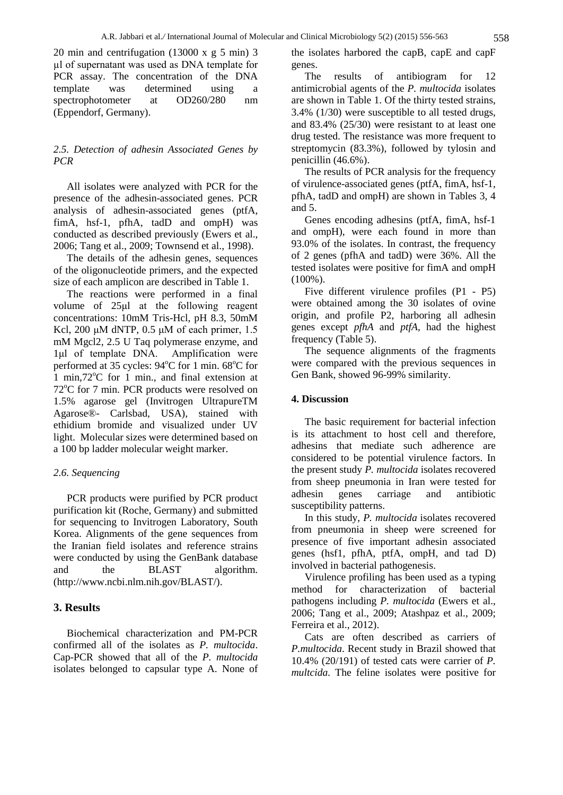20 min and centrifugation (13000 x g 5 min) 3 A.R. Jabbari et al./International Journal of Molecular<br>min and centrifugation (13000 x g 5 min) 3<br>of supernatant was used as DNA template for PCR assay. The concentration of the DNA template was determined using a spectrophotometer at OD260/280 nm (Eppendorf, Germany).

#### *2.5. Detection of adhesin Associated Genes by PCR*

All isolates were analyzed with PCR for the presence of the adhesin-associated genes. PCR analysis of adhesin-associated genes (ptfA, fimA, hsf-1, pfhA, tadD and ompH) was conducted as described previously (Ewers et al., 2006; Tang et al., 2009; Townsend et al., 1998).

The details of the adhesin genes, sequences of the oligonucleotide primers, and the expected size of each amplicon are described in Table 1.

The reactions were performed in a final size of each amplicon are described in Table 1.<br>The reactions were performed in a final<br>volume of 25µl at the following reagent concentrations: 10mM Tris-Hcl, pH 8.3, 50mM Notume of 25μl at the following reagent<br>
concentrations: 10mM Tris-Hcl, pH 8.3, 50mM of<br>
Kcl, 200 μM dNTP, 0.5 μM of each primer, 1.5 g mM Mgcl2, 2.5 U Taq polymerase enzyme, and  $\qquad$ <sup>f1</sup> Kcl, 200  $\mu$ M dNTP, 0.5  $\mu$ M of each primer, 1.5 mM Mgcl2, 2.5 U Taq polymerase enzyme, and 1 $\mu$ l of template DNA. Amplification were performed at 35 cycles: 94°C for 1 min. 68°C for  $\overline{1}$  min,72<sup>o</sup>C for 1 min., and final extension at 72<sup>o</sup>C for 7 min. PCR products were resolved on 1.5% agarose gel (Invitrogen UltrapureTM 4. Discu T2°C for 7 min. PCR products were resolved on<br>1.5% agarose gel (Invitrogen UltrapureTM 4<br>Agarose®- Carlsbad, USA), stained with ethidium bromide and visualized under UV light. Molecular sizes were determined based on a 100 bp ladder molecular weight marker.

#### *2.6. Sequencing*

PCR products were purified by PCR product purification kit (Roche, Germany) and submitted for sequencing to Invitrogen Laboratory, South Korea. Alignments of the gene sequences from the Iranian field isolates and reference strains were conducted by using the GenBank database and the BLAST algorithm. (http://www.ncbi.nlm.nih.gov/BLAST/).

#### **3. Results**

Biochemical characterization and PM-PCR confirmed all of the isolates as *P. multocida*. Cap-PCR showed that all of the *P. multocida* isolates belonged to capsular type A. None of

the isolates harbored the capB, capE and capF genes.

results of antibiogram for 12 antimicrobial agents of the *P. multocida* isolates are shown in Table 1. Of the thirty tested strains, 3.4% (1/30) were susceptible to all tested drugs, and 83.4% (25/30) were resistant to at least one drug tested. The resistance was more frequent to streptomycin (83.3%), followed by tylosin and penicillin (46.6%).

The results of PCR analysis for the frequency of virulence-associated genes (ptfA, fimA, hsf-1, pfhA, tadD and ompH) are shown in Tables 3,4 and 5.

Genes encoding adhesins (ptfA, fimA, hsf-1 and ompH), were each found in more than 93.0% of the isolates. In contrast, the frequency of 2 genes (pfhA and tadD) were 36%. All the tested isolates were positive for fimA and ompH (100%).

Five different virulence profiles (P1 - P5) were obtained among the 30 isolates of ovine origin, and profile P2, harboring all adhesin genes except *pfhA* and *ptfA*, had the highest frequency (Table 5).

The sequence alignments of the fragments were compared with the previous sequences in Gen Bank, showed 96-99% similarity.

#### **4. Discussion**

The basic requirement for bacterial infection is its attachment to host cell and therefore, adhesins that mediate such adherence are considered to be potential virulence factors. In the present study *P. multocida* isolates recovered from sheep pneumonia in Iran were tested for adhesin genes carriage and antibiotic susceptibility patterns.

In this study, *P. multocida* isolates recovered from pneumonia in sheep were screened for presence of five important adhesin associated genes (hsf1, pfhA, ptfA, ompH, and tad D) involved in bacterial pathogenesis.

Virulence profiling has been used as a typing method for characterization of bacterial pathogens including *P. multocida* (Ewers et al., 2006; Tang et al., 2009; Atashpaz et al., 2009; Ferreira et al., 2012).

Cats are often described as carriers of *P.multocida*. Recent study in Brazil showed that 10.4% (20/191) of tested cats were carrier of *P. multcida.* The feline isolates were positive for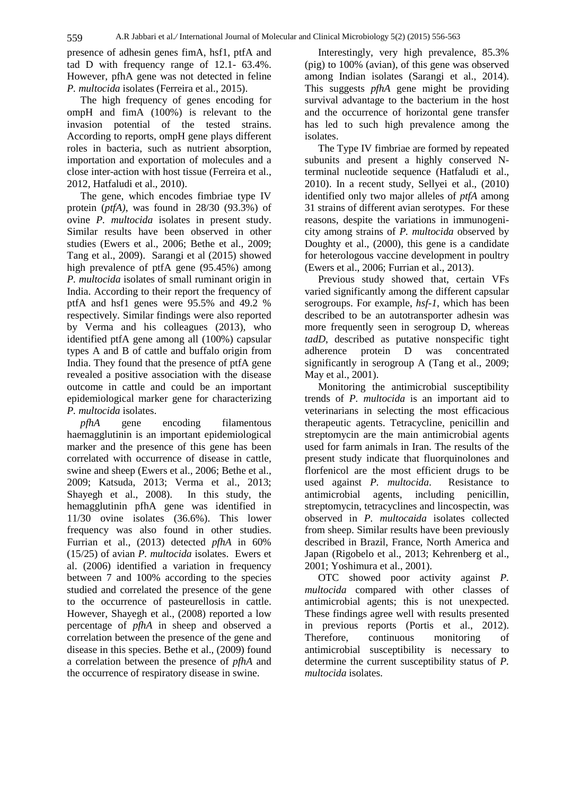presence of adhesin genes fimA, hsf1, ptfA and tad D with frequency range of 12.1- 63.4%. However, pfhA gene was not detected in feline *P. multocida* isolates (Ferreira et al., 2015).

The high frequency of genes encoding for ompH and fimA (100%) is relevant to the invasion potential of the tested strains. According to reports, ompH gene plays different roles in bacteria, such as nutrient absorption, importation and exportation of molecules and a close inter-action with host tissue (Ferreira et al., 2012, Hatfaludi et al., 2010).

The gene, which encodes fimbriae type IV protein (*ptfA)*, was found in 28/30 (93.3%) of ovine *P.multocida* isolates in present study. Similar results have been observed in other studies (Ewers et al., 2006; Bethe et al., 2009; Tang et al., 2009). Sarangi et al (2015) showed high prevalence of ptfA gene (95.45%) among *P. multocida* isolates of small ruminant origin in India. According to their report the frequency of ptfA and hsf1 genes were 95.5% and 49.2 % respectively. Similar findings were also reported by Verma and his colleagues (2013), who identified ptfA gene among all (100%) capsular types A and B of cattle and buffalo origin from India. They found that the presence of ptfA gene revealed a positive association with the disease outcome in cattle and could be an important epidemiological marker gene for characterizing *P. multocida* isolates.

*pfhA* gene encoding filamentous haemagglutinin is an important epidemiological marker and the presence of this gene has been correlated with occurrence of disease in cattle, swine and sheep (Ewers et al., 2006; Bethe et al., 2009; Katsuda, 2013; Verma et al., 2013; Shayegh et al., 2008). In this study, the hemagglutinin pfhA gene was identified in 11/30 ovine isolates (36.6%). This lower frequency was also found in other studies. Furrian et al., (2013) detected *pfhA* in 60% (15/25) of avian *P. multocida* isolates. Ewers et al. (2006) identified a variation in frequency between 7 and 100% according to the species studied and correlated the presence of the gene to the occurrence of pasteurellosis in cattle. However, Shayegh et al., (2008) reported a low percentage of *pfhA* in sheep and observed a correlation between the presence of the gene and disease in this species. Bethe et al., (2009) found a correlation between the presence of *pfhA* and the occurrence of respiratory disease in swine.

Interestingly, very high prevalence, 85.3% (pig) to 100% (avian), of this gene was observed among Indian isolates (Sarangi et al., 2014). This suggests *pfhA* gene might be providing survival advantage to the bacterium in the host and the occurrence of horizontal gene transfer has led to such high prevalence among the isolates.

The Type IV fimbriae are formed by repeated subunits and present a highly conserved Nterminal nucleotide sequence (Hatfaludi et al., 2010). In a recent study, Sellyei et al., (2010) identified only two major alleles of *ptfA* among 31 strains of different avian serotypes. For these reasons, despite the variations in immunogeni city among strains of *P. multocida* observed by Doughty et al., (2000), this gene is a candidate for heterologous vaccine development in poultry (Ewers et al., 2006; Furrian et al., 2013).

Previous study showed that, certain VFs varied significantly among the different capsular serogroups. For example, *hsf-1*, which has been described to be an autotransporter adhesin was more frequently seen in serogroup D, whereas *tadD*, described as putative nonspecific tight protein D was concentrated significantly in serogroup A (Tang et al., 2009; May et al., 2001).

Monitoring the antimicrobial susceptibility trends of *P. multocida* is an important aid to veterinarians in selecting the most efficacious therapeutic agents. Tetracycline, penicillin and streptomycin are the main antimicrobial agents used for farm animals in Iran. The results of the present study indicate that fluorquinolones and florfenicol are the most efficient drugs to be used against *P. multocida*. Resistance to antimicrobial agents, including penicillin, streptomycin, tetracyclines and lincospectin, was observed in *P. multocaida* isolates collected from sheep. Similar results have been previously described in Brazil, France, North America and Japan (Rigobelo et al., 2013; Kehrenberg et al., 2001; Yoshimura et al., 2001).

OTC showed poor activity against *P. multocida* compared with other classes of antimicrobial agents; this is not unexpected. These findings agree well with results presented in previous reports (Portis et al., 2012). continuous monitoring of antimicrobial susceptibility is necessary to determine the current susceptibility status of *P. multocida* isolates.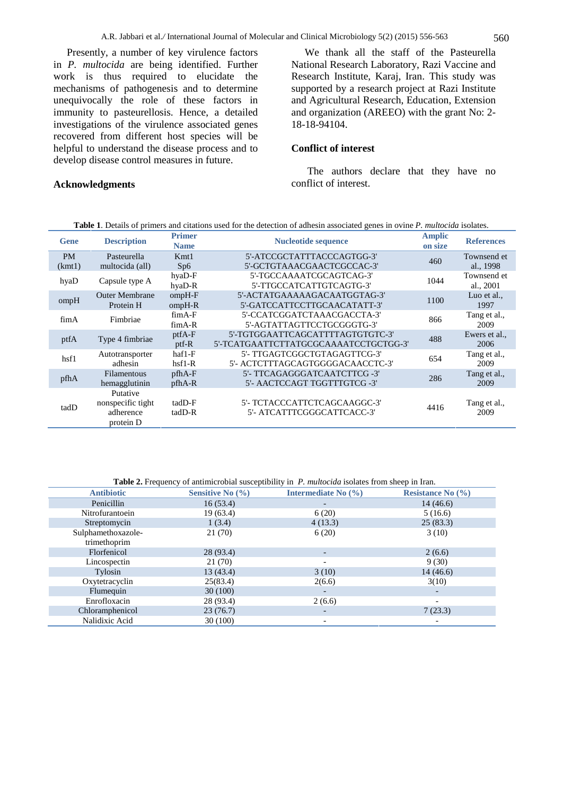Presently, a number of key virulence factors in *P. multocida* are being identified. Further work is thus required to elucidate the mechanisms of pathogenesis and to determine unequivocally the role of these factors in immunity to pasteurellosis. Hence, a detailed investigations of the virulence associated genes recovered from different host species will be helpful to understand the disease process and to develop disease control measures in future.

We thank all the staff of the Pasteurella National Research Laboratory, Razi Vaccine and Research Institute, Karaj, Iran. This study was supported by a research project at Razi Institute and Agricultural Research, Education, Extension and organization (AREEO) with the grant No: 2- 18-18-94104.

#### **Conflict of interest**

The authors declare that they have no conflict of interest.

### **Acknowledgments**

|                     | <b>Table 1.</b> Details of primers and citations used for the detection of adhesin associated genes in ovine <i>P. multocida</i> isolates. |                                              |                                                                           |                          |                          |  |  |
|---------------------|--------------------------------------------------------------------------------------------------------------------------------------------|----------------------------------------------|---------------------------------------------------------------------------|--------------------------|--------------------------|--|--|
| <b>Gene</b>         | <b>Description</b>                                                                                                                         | <b>Primer</b><br><b>Name</b>                 | <b>Nucleotide sequence</b>                                                | <b>Amplic</b><br>on size | <b>References</b>        |  |  |
| <b>PM</b><br>(kmt1) | Pasteurella<br>multocida (all)                                                                                                             | Kmt1<br>Sp6                                  | 5'-ATCCGCTATTTACCCAGTGG-3'<br>5'-GCTGTAAACGAACTCGCCAC-3'                  | 460                      | Townsend et<br>al., 1998 |  |  |
| hyaD                | Capsule type A                                                                                                                             | hyaD-F<br>hyaD-R                             | 5'-TGCCAAAATCGCAGTCAG-3'<br>5'-TTGCCATCATTGTCAGTG-3'                      | 1044                     | Townsend et<br>al., 2001 |  |  |
| ompH                | <b>Outer Membrane</b><br>Protein H                                                                                                         | $ompH-F$<br>$ompH-R$                         | 5'-ACTATGAAAAAGACAATGGTAG-3'<br>5'-GATCCATTCCTTGCAACATATT-3'              | 1100                     | Luo et al.,<br>1997      |  |  |
| fimA                | Fimbriae                                                                                                                                   | $f_{\text{Im}}A$ - $F$<br>$f_{\text{Im}}A-R$ | 5'-CCATCGGATCTAAACGACCTA-3'<br>5'-AGTATTAGTTCCTGCGGGTG-3'                 | 866                      | Tang et al.,<br>2009     |  |  |
| ptfA                | Type 4 fimbriae                                                                                                                            | ptfA-F<br>$ptf-R$                            | 5'-TGTGGAATTCAGCATTTTAGTGTGTC-3'<br>5'-TCATGAATTCTTATGCGCAAAATCCTGCTGG-3' | 488                      | Ewers et al.,<br>2006    |  |  |
| hsf1                | Autotransporter<br>adhesin                                                                                                                 | haf1-F<br>$hsf1-R$                           | 5'- TTGAGTCGGCTGTAGAGTTCG-3'<br>5'- ACTCTTTAGCAGTGGGGACAACCTC-3'          | 654                      | Tang et al.,<br>2009     |  |  |
| pfhA                | <b>Filamentous</b><br>hemagglutinin                                                                                                        | pfhA-F<br>$pfhA-R$                           | 5'- TTCAGAGGGATCAATCTTCG -3'<br>5'- AACTCCAGT TGGTTTGTCG -3'              | 286                      | Tang et al.,<br>2009     |  |  |
| tadD                | Putative<br>nonspecific tight<br>adherence<br>protein D                                                                                    | tadD-F<br>tadD-R                             | 5'- TCTACCCATTCTCAGCAAGGC-3'<br>5'- ATCATTTCGGGCATTCACC-3'                | 4416                     | Tang et al.,<br>2009     |  |  |

**Table 2.** Frequency of antimicrobial susceptibility in *P. multocida* isolates from sheep in Iran.

| <b>Antibiotic</b>                  | Sensitive No $(\% )$ | Intermediate No $(\% )$  | Resistance No $(\% )$    |
|------------------------------------|----------------------|--------------------------|--------------------------|
| Penicillin                         | 16(53.4)             |                          | 14(46.6)                 |
| Nitrofurantoein                    | 19(63.4)             | 6(20)                    | 5(16.6)                  |
| Streptomycin                       | 1(3.4)               | 4(13.3)                  | 25(83.3)                 |
| Sulphamethoxazole-<br>trimethoprim | 21 (70)              | 6(20)                    | 3(10)                    |
| Florfenicol                        | 28 (93.4)            | $\overline{\phantom{a}}$ | 2(6.6)                   |
| Lincospectin                       | 21 (70)              | $\overline{\phantom{a}}$ | 9(30)                    |
| Tylosin                            | 13(43.4)             | 3(10)                    | 14(46.6)                 |
| Oxytetracyclin                     | 25(83.4)             | 2(6.6)                   | 3(10)                    |
| Flumequin                          | 30(100)              | $\overline{\phantom{a}}$ | $\overline{\phantom{a}}$ |
| Enrofloxacin                       | 28 (93.4)            | 2(6.6)                   |                          |
| Chloramphenicol                    | 23(76.7)             | $\overline{\phantom{a}}$ | 7(23.3)                  |
| Nalidixic Acid                     | 30(100)              | $\overline{\phantom{a}}$ |                          |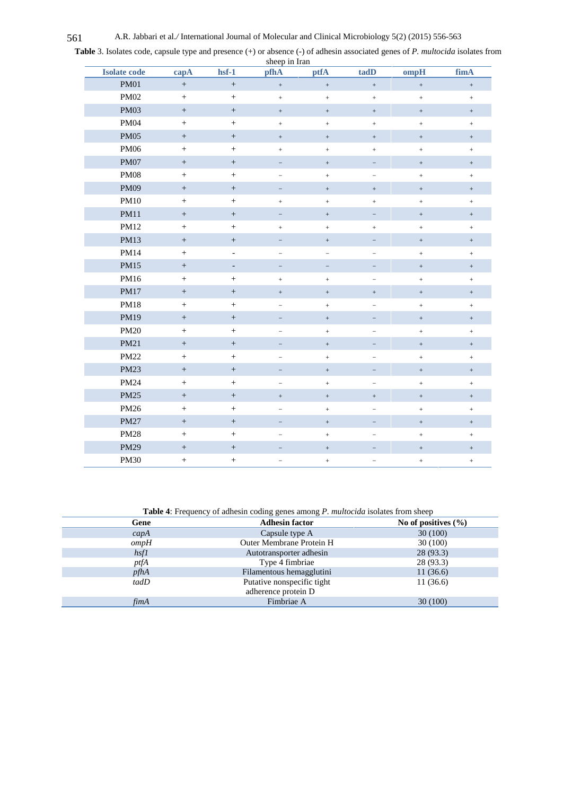#### 561 A.R. Jabbari et al./ International Journal of Molecular and Clinical Microbiology 5(2) (2015) 556-563

| <b>Isolate code</b> | capA              | $hsf-1$                  | pfhA                             | ptfA                     | tadD                     | ompH                             | fimA              |
|---------------------|-------------------|--------------------------|----------------------------------|--------------------------|--------------------------|----------------------------------|-------------------|
| <b>PM01</b>         | $\boldsymbol{+}$  | $\boldsymbol{+}$         | $^+$                             | $^+$                     | $^+$                     | $\qquad \qquad +$                | $^+$              |
| <b>PM02</b>         | $\boldsymbol{+}$  | $\boldsymbol{+}$         | $^+$                             | $\qquad \qquad +$        | $^+$                     | $^+$                             | $\qquad \qquad +$ |
| <b>PM03</b>         | $^{+}$            | $^+$                     | $\qquad \qquad +$                | $^+$                     | $^+$                     | $^+$                             | $\qquad \qquad +$ |
| <b>PM04</b>         | $+$               | $\pm$                    | $+$                              | $+$                      | $+$                      | $+$                              | $\qquad \qquad +$ |
| <b>PM05</b>         | $\, +$            | $^+$                     | $\qquad \qquad +$                | $\qquad \qquad +$        | $\qquad \qquad +$        | $^+$                             | $\qquad \qquad +$ |
| <b>PM06</b>         | $^+$              | $\boldsymbol{+}$         | $\qquad \qquad +$                | $\qquad \qquad +$        | $^{+}$                   | $^{\mathrm{+}}$                  | $+$               |
| <b>PM07</b>         | $\qquad \qquad +$ | $^+$                     | -                                | $\qquad \qquad +$        | -                        | $\qquad \qquad +$                | $\qquad \qquad +$ |
| <b>PM08</b>         | $\, +$            | $\! +$                   | $\overline{\phantom{a}}$         | $\qquad \qquad +$        | $\overline{\phantom{a}}$ | $^{\mathrm{+}}$                  | $\qquad \qquad +$ |
| <b>PM09</b>         | $\boldsymbol{+}$  | $^+$                     | -                                | $^+$                     | $^{\mathrm{+}}$          | $^+$                             | $\qquad \qquad +$ |
| <b>PM10</b>         | $^{+}$            | $\boldsymbol{+}$         | $+$                              | $+$                      | $\qquad \qquad +$        | $+$                              | $+$               |
| <b>PM11</b>         | $+$               | $\boldsymbol{+}$         | $\overline{\phantom{0}}$         | $^+$                     | $\qquad \qquad -$        | $^+$                             | $^+$              |
| <b>PM12</b>         | $\boldsymbol{+}$  | $\boldsymbol{+}$         | $+$                              | $+$                      | $+$                      | $\! + \!\!\!\!$                  | $+$               |
| <b>PM13</b>         | $\boldsymbol{+}$  | $^+$                     | -                                | $^+$                     | -                        | $^+$                             | $^+$              |
| PM14                | $+$               | $\overline{\phantom{a}}$ | $\overline{\phantom{0}}$         | $\overline{\phantom{0}}$ | $\overline{\phantom{0}}$ | $^+$                             | $\qquad \qquad +$ |
| <b>PM15</b>         | $\boldsymbol{+}$  | -                        | -                                | -                        | -                        | $\, +$                           | $^+$              |
| PM16                | $+$               | $\boldsymbol{+}$         | $\begin{array}{c} + \end{array}$ | $+$                      | -                        | $\begin{array}{c} + \end{array}$ | $\qquad \qquad +$ |
| <b>PM17</b>         | $\boldsymbol{+}$  | $\! + \!\!\!\!$          | $\qquad \qquad +$                | $\qquad \qquad +$        | $\qquad \qquad +$        | $\qquad \qquad +$                | $\qquad \qquad +$ |
| <b>PM18</b>         | $\, +$            | $\pm$                    | $\overline{\phantom{0}}$         | $+$                      | $\overline{\phantom{0}}$ | $+$                              | $+$               |
| PM19                | $\boldsymbol{+}$  | $^+$                     | -                                | $\qquad \qquad +$        | -                        | $\qquad \qquad +$                | $\qquad \qquad +$ |
| <b>PM20</b>         | $^+$              | $\boldsymbol{+}$         | -                                | $^+$                     | -                        | $^{\mathrm{+}}$                  | $+$               |
| PM21                | $\boldsymbol{+}$  | $^+$                     | $\overline{\phantom{0}}$         | $\qquad \qquad +$        | -                        | $^+$                             | $^+$              |
| <b>PM22</b>         | $\boldsymbol{+}$  | $\! +$                   | $\qquad \qquad -$                | $+$                      | $\qquad \qquad -$        | $\! + \!\!\!\!$                  | $\qquad \qquad +$ |
| <b>PM23</b>         | $\boldsymbol{+}$  | $^+$                     |                                  | $\qquad \qquad +$        |                          | $^+$                             | $+$               |
| <b>PM24</b>         | $^{+}$            | $\boldsymbol{+}$         | $\overline{\phantom{0}}$         | $+$                      | $\qquad \qquad -$        | $^+$                             | $+$               |
| <b>PM25</b>         | $\qquad \qquad +$ | $\boldsymbol{+}$         | $\qquad \qquad +$                | $^+$                     | $^+$                     | $^+$                             | $^+$              |
| PM26                | $\boldsymbol{+}$  | $\boldsymbol{+}$         | -                                | $+$                      | $\overline{\phantom{0}}$ | $\begin{array}{c} + \end{array}$ | $^{+}$            |
| <b>PM27</b>         | $\boldsymbol{+}$  | $^+$                     | $\overline{\phantom{0}}$         | $^+$                     | -                        | $^+$                             | $\qquad \qquad +$ |
| <b>PM28</b>         | $^{+}$            | $\boldsymbol{+}$         | $\qquad \qquad -$                | $^+$                     | $\qquad \qquad -$        | $^{\mathrm{+}}$                  | $\qquad \qquad +$ |
| <b>PM29</b>         | $\boldsymbol{+}$  | $^+$                     |                                  | $^+$                     |                          | $^+$                             | $^+$              |
| <b>PM30</b>         | $\boldsymbol{+}$  | $\boldsymbol{+}$         | -                                | $^{+}$                   | -                        | $^{+}$                           | $+$               |

**Table** 3. Isolates code, capsule type and presence (+) or absence (-) of adhesin associated genes of *P. multocida* isolates from sheep in Iran

**Table 4**: Frequency of adhesin coding genes among *P. multocida* isolates from sheep

| Gene       | <b>Adhesin factor</b>                             | No of positives $(\% )$ |
|------------|---------------------------------------------------|-------------------------|
| capA       | Capsule type A                                    | 30(100)                 |
| ompH       | Outer Membrane Protein H                          | 30(100)                 |
| $h$ sf $l$ | Autotransporter adhesin                           | 28(93.3)                |
| ptfA       | Type 4 fimbriae                                   | 28 (93.3)               |
| pfhA       | Filamentous hemagglutini                          | 11(36.6)                |
| tadD       | Putative nonspecific tight<br>adherence protein D | 11(36.6)                |
| fimA       | Fimbriae A                                        | 30(100)                 |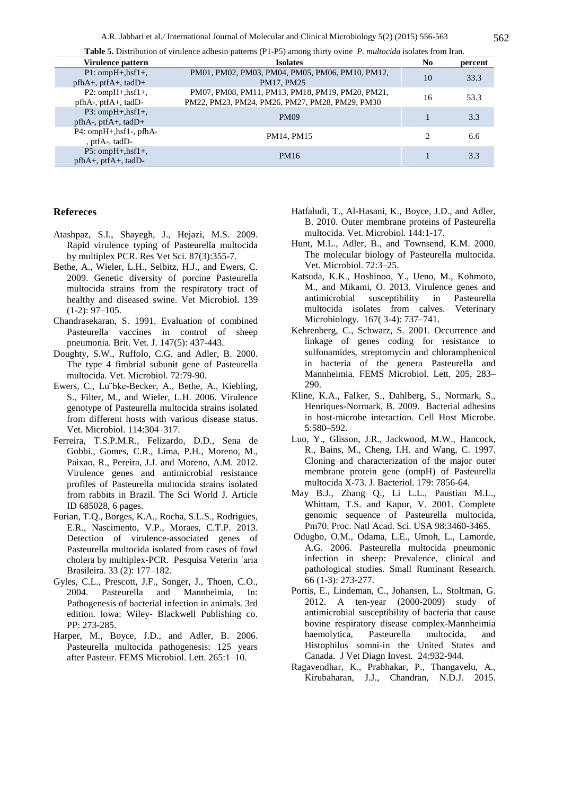| Table 5. Distribution of virulence adhesin patterns (P1-P5) among thirty ovine P. multocida isolates from Iran. |  |
|-----------------------------------------------------------------------------------------------------------------|--|
|-----------------------------------------------------------------------------------------------------------------|--|

| Virulence pattern                                | <b>Isolates</b>                                                                                   | No | percent |
|--------------------------------------------------|---------------------------------------------------------------------------------------------------|----|---------|
| $P1:ompH+hsf1+$<br>$pfhA+, ptfA+, tadD+$         | PM01, PM02, PM03, PM04, PM05, PM06, PM10, PM12,<br>PM17, PM25                                     | 10 | 33.3    |
| P2: $ompH+ hsf1+$ ,<br>pfhA-, ptfA+, tadD-       | PM07, PM08, PM11, PM13, PM18, PM19, PM20, PM21,<br>PM22, PM23, PM24, PM26, PM27, PM28, PM29, PM30 | 16 | 53.3    |
| P3: $ompH+, hsf1+,$<br>$pfhA-, ptfA+, tadD+$     | <b>PM09</b>                                                                                       |    | 3.3     |
| $P4$ : ompH+,hsf1-, pfhA-<br>, $ptfA-$ , $tadD-$ | PM14, PM15                                                                                        |    | 6.6     |
| P5: $ompH+, hsf1+,$<br>$pfhA+, ptfA+, tadD-$     | PM16                                                                                              |    | 3.3     |

#### **Refereces**

- Atashpaz, S.I., Shayegh, J., Hejazi, M.S. 2009. Rapid virulence typing of Pasteurella multocida by multiplex PCR. Res Vet Sci. 87(3):355-7.
- Bethe, A., Wieler, L.H., Selbitz, H.J., and Ewers, C. 2009. Genetic diversity of porcine Pasteurella multocida strains from the respiratory tract of healthy and diseased swine. Vet Microbiol. 139 multocida strains<br>healthy and diseas<br>(1-2): 97–105.
- Chandrasekaran, S. 1991. Evaluation of combined Pasteurella vaccines in control of sheep pneumonia. Brit. Vet. J. 147(5): 437-443.
- Doughty, S.W., Ruffolo, C.G. and Adler, B. 2000. The type 4 fimbrial subunit gene of Pasteurella multocida. Vet. Microbiol. 72:79-90.
- Ewers, C., Lu<sup>n</sup>bke-Becker, A., Bethe, A., Kiebling, S., Filter, M., and Wieler, L.H. 2006. Virulence genotype of Pasteurella multocida strains isolated from different hosts with various disease status. genotype of Pasteurella multocida<br>from different hosts with various<br>Vet. Microbiol. 114:304–317.
- Ferreira, T.S.P.M.R., Felizardo, D.D., Sena de Gobbi., Gomes, C.R., Lima, P.H., Moreno, M., Paixao, R., Pereira, J.J. and Moreno, A.M. 2012. Virulence genes and antimicrobial resistance profiles of Pasteurella multocida strains isolated from rabbits in Brazil. The Sci World J. Article ID 685028, 6 pages.
- Furian, T.Q., Borges, K.A., Rocha, S.L.S., Rodrigues, E.R., Nascimento, V.P., Moraes, C.T.P. 2013. Detection of virulence-associated genes of<br>Pasteurella multocida isolated from cases of fowl<br>cholera by multiplex-PCR. Pesquisa Veterin 'aria Pasteurella multocida isolated from cases of fowl cholera by multiplex-PCR. Pesquisa Veterin 'aria<br>Brasileira. 33 (2): 177-182.
- Gyles, C.L., Prescott, J.F., Songer, J., Thoen, C.O., 2004. Pasteurella and Mannheimia, In: Pathogenesis of bacterial infection in animals. 3rd edition. lowa: Wiley- Blackwell Publishing co. PP: 273-285.
- Harper, M., Boyce, J.D., and Adler, B. 2006.<br>Pasteurella multocida pathogenesis: 125 years<br>after Pasteur. FEMS Microbiol. Lett. 265:1–10. Pasteurella multocida pathogenesis: 125 years
- Hatfaludi, T., Al-Hasani, K., Boyce, J.D., and Adler, B. 2010. Outer membrane proteins of Pasteurella multocida. Vet. Microbiol. 144:1-17.
- Hunt, M.L., Adler, B., and Townsend, K.M. 2000. The molecular biology of Pasteurella multocida. nt, M.L., Adler, B., and Tow<br>The molecular biology of Pa<br>Vet. Microbiol. 72:3–25.
- Katsuda, K.K., Hoshinoo, Y., Ueno, M., Kohmoto, M., and Mikami, O. 2013. Virulence genes and antimicrobial susceptibility in Pasteurella multocida isolates from calves. Veterinary antimicrobial susceptibility in F<br>multocida isolates from calves.<br>Microbiology. 167( 3-4): 737–741.
- Kehrenberg, C., Schwarz, S. 2001. Occurrence and linkage of genes coding for resistance to sulfonamides, streptomycin and chloramphenicol<br>in bacteria of the genera Pasteurella and<br>Mannheimia. FEMS Microbiol. Lett. 205, 283– in bacteria of the genera Pasteurella and 290.
- Kline, K.A., Falker, S., Dahlberg, S., Normark, S., Henriques-Normark, B. 2009. Bacterial adhesins in host-microbe interaction. Cell Host Microbe. Henriques-Norn<br>in host-microbe<br>5:580–592.
- Luo, Y., Glisson, J.R., Jackwood, M.W., Hancock, R., Bains, M., Cheng, I.H. and Wang, C. 1997. Cloning and characterization of the major outer membrane protein gene (ompH) of Pasteurella multocida X-73. J. Bacteriol. 179: 7856-64.
- May B.J., Zhang Q., Li L.L., Paustian M.L., Whittam, T.S. and Kapur, V. 2001. Complete genomic sequence of Pasteurella multocida, Pm70. Proc. Natl Acad. Sci. USA 98:3460-3465.
- Odugbo, O.M., Odama, L.E., Umoh, L., Lamorde, A.G. 2006. Pasteurella multocida pneumonic infection in sheep: Prevalence, clinical and pathological studies. Small Ruminant Research. 66 (1-3): 273-277.
- Portis, E., Lindeman, C., Johansen, L., Stoltman, G. 2012. A ten-year (2000-2009) study of antimicrobial susceptibility of bacteria that cause bovine respiratory disease complex-Mannheimia haemolytica, Pasteurella multocida, and Histophilus somni-in the United States and Canada. J Vet Diagn Invest. 24:932-944.
- Ragavendhar, K., Prabhakar, P., Thangavelu, A., Kirubaharan, J.J., Chandran, N.D.J. 2015.